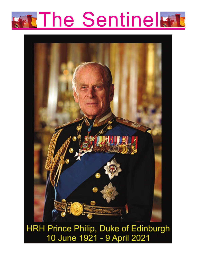



HRH Prince Philip, Duke of Edinburgh 10 June 1921 - 9 April 2021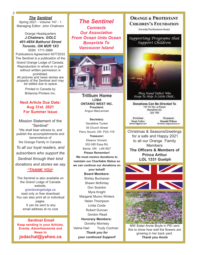*The Sentinel* Spring 2021 - Volume 147 - 1 Managing Editor: John Chalmers

Orange Headquarters *J.Chalmers. GOLC 401-4854 Bathurst Street Toronto. ON M2R 1X3* ISSN 1711-3989

Publications Agreement 40772033 The Sentinel is a publication of the Grand Orange Lodge of Canada. Reproduction in whole or in part without written permission is prohibited. All pictures and news stories are property of the Sentinel and may be edited due to space.

> Printed in Canada by Britannia Printers Inc.

#### **Next Article Due Date: Aug 31st. 2021 For Summer Issue**

Mission Statement of the "Sentinel" "We shall bear witness to, and publish the accomplishments and benevolence of the Orange Family in Canada. *To all our loyal readers, and subscribers who support the Sentinel through their kind donations and stories we say "THANK YOU***"**

The Sentinel is also available on the Grand Lodge of Canada website, grandorangelodge.ca read only or free download You can also print all or individual pages. It can be sent to any email address at no cost

**Sentinel Email Keep sending in your Articles, Events, Advertisements and News to jodachal@yahoo.ca**

*The Sentinel Connects Our Association From Ocean Unto Ocean Bonavista To Vancouver Island*



**Trillium Home LOBA ONTARIO WEST INC. President:** Angus MacLennan

**Secretary:** Geraldine Tucker 39 Church Street Parry Sound, ON P2A 1Y6 **Treasurer:** Eleanor Vincent. 302-380 Essa Rd. Barrie. ON L4N 9G7 **Please Remember! We must receive donations to maintain our Charitable Status so we can continue our donations on your behalf! Board Members:** Shirley Buchanan Shawn McKinlay Don Scanlon Myra Knight Margaret Munro Winters Helen Thompson Linda Coote Robert Duncan Gordon Read **Honorary Members:** Dorothy Morrisey Velma Hart Trudy Cochran *Thank you for your continued Support!*

### **ORANGE & PROTESTANT CHILDREN'S FOUNDATION**

(Formally The Rosemere Home)

#### Supporting Programs that Support Children



They Stand Tallest Who Stoop To Help A Little Child...

**Donations Can Be Directed To** 137 Ch De La Passe Mansfield QC **JOX 1RO** 

President **Dean Nobes** denob70@gmail.com

**Treasurer Donald Wilson** donwilson 920sympatico.ca

Christmas & SeasonsGreetings for a safe and Happy 2021 to all our Orange Family **Members The Officers & Members of Prince Arthur LOL 1331 Guelph**



MW Sister Annie Boyle in PEI sent this to show how well the flowers are growing in her back yard. *Thank you Annie*

 $2<sup>1</sup>$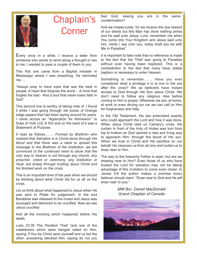

# Chaplain's Corner

Every once in a while, I receive a letter from someone who wants to send along a thought or two to me. I wanted to pass a couple of them to you.

This first one came from a Baptist minister in Mississippi where I was preaching. He reminded me….

"Always pray to have eyes that see the best in people, A heart that forgives the worst - A mind that forgets the bad - And a soul that never loses faith in God".

This second one is worthy of taking note of. I found it while I was going through old boxes of Orange lodge papers that had been laying around for years. I came across an "Application for Admission" to Duke of York LOL # 303 and on the back of it was a Statement of Purpose.

It read as follows……. *Formed by Brethren who realized that Salvation is in Christ alone through His blood and that there was a need to spread this message to the Brethren of the Institution, we are convinced of the continued need to show that the only way to heaven is not through any church, any preacher, creed or ceremony, any Institution or ritual, but simply through trusting Jesus Christ and his finished work on the cross.*

This is an important time of the year when we should be thinking about what Christ did for us all on the cross.

Let us think about what happened to Jesus when He was sent to Pilate for judgement. In the end Barabbas was released to the crowd and Jesus was scourged and delivered to be crucified. Now we see Jesus crucified

And all the mocking which happened before His death.

Luke 23:39 The Penitent Thief "and one of the malefactors which were hanged railed on Him, saying, if You be Christ save yourself and us but the other, answering rebuked Him, saying do not you fear God, seeing you are in the same condemnation?

3

And we indeed justly; for we receive the due reward of our deeds but this Man has done nothing amiss and he said unto Jesus, Lord, remember me when You come into Your Kingdom and Jesus said unto him, Verily I say unto you, today shall you be with Me in Paradise".

It is important to take note that no reference is made to the fact that the Thief was going to Paradise without ever having been baptized. This is a contradiction to the fact that many have stated baptism is necessary to enter Heaven.

Something to remember……. Have you ever considered what a privilege it is to live in the era after the cross? We as believers have instant access to God through His Son Jesus Christ. We don't need to follow any religious rites before coming to Him in prayer. Wherever we are, at home, at work or even driving our car we can call on Him for forgiveness and help.

In the Old Testament, the law prescribed exactly who could approach the Lord and how it was done. When Jesus Christ died on Calvary's cross, the curtain in front of the Holy of Holies was torn from top to bottom as God opened a new and living way to approach Him: through the blood of His son. When we trust in Christ and His sacrifice on our behalf, He cleanses us from all sins and invites us to draw near to Him.

The way to the heavenly Father is open, but are we drawing near to Him? Even those of us who have trusted the Lord for salvation may not be taking advantage of this invitation to come even closer. In James 4:8 the author makes a promise every believer should claim: "Draw near to God and He will draw near to you."

> *MW Bro. Daniel MacDonald Grand Chaplain of Canada*

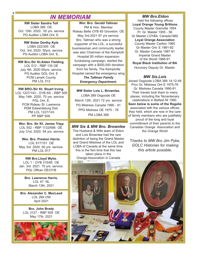# *IN MEMORIAM*

**RW Sister Sandra Toll** LOBA 389 OE Oct. 10th. 2020.. 50 yrs. service PG Auditor LOBA Ont. E.

**RW Sister Dorthy Kyle** LOBA 222/305 OE Oct. 3rd. 2020. 50yrs. service PG Auditor LOBA Ont. E..

**RW Bro./Sir Kt.Alden Fielding.** LOL 512 - RBP 135 OE July 4th. 2020 65yrs. service. PG Auditor GOL Ont. E PCM Lanark County PM LOL 512

**RW BRO./Sir Kt. Stuart Irving.** LOL 1227/143 - OYB 65/ - RBP 509 May 14th. 2020. 70 yrs. service PGL Ont. F. PCM Rideau St. Lawrence PDM Edwardsburg Dist. PM LOL 1227/143 PP RBP 509.

**Wor. Bro. Sir Kt. James Tripp** LOL 552 - RBP 1132/696 OE. July 31st. 2020 54 yrs. service

**Wor. Bro. Preston Harris.** LOL 917/151 OE May 3rd. 2020. 50 yrs. service. PM LOL 917

**RW Bro.Lloyd Wylie.**  LOL 1 - OYB 315/65 OE Jan. 3rd. 2021. 70 yrs. service. PGL Officer OE/OYB

> **Bro. Lawrence Harris.** LOL 47 NL March 13th. 2021

**Bro. Alexander C. MacLeod** LOL 269 OW April 2021

**Bro. John Brady** LOL 3127 - RBP 509 OE May 17th. 2021



**Wor. Bro. Gerald Tallman** PM & Hon. Member Rideau Belle OYB 65 Groveton. OE May 3rd.2021 67 yrs service. Bro. Tallman who was a strong supporter of the LOL, a succesful businessman and community leader, was also Chairman of the Kemptvill Hospital \$5 million expansion fundraising campaign, started the campaign with a \$500,000 donation from his family. The Kemptville Hospital named the emergency wing *The Tallman Family Emergency Department.*

**MW Sister Lois L. Brownlee.** LOBA 389 Osgoode OE March 12th. 2021 72 yrs. service PG Mistress Canada 1990 - 91 PPG Mistress OE 1975 - 76 PM LOBA 389

#### *MW Sis & MW Bro. Brownlee*

The Husband & Wife team of Eldon and Lois Brownlee had the rare distintion of being the Grand Master and Grand Mistress of the LOL and LOBA of Canada at the same time. this is the fisrt time that this has taken place in the Orange Association in Canada

*MW Bro.Eldon* held the following offices **Loyal Orange Young Brittons.** County Master Grenville 1954 Pr. Gr. Master 1955 - 56 Gr Master LOYBA Canada1960 **Loyal Orange Association** County Master Carlton 1965 Gr Master Ont. E 1981-82 Gr. Master Canada 1987-91 Imperial Grand Master of the World 1988-91 **Royal Black Institution of BA** Honorary Deputy Gr. Master.

#### *MW Sis.Lois*

Joined Osgoode LOBA 389 14-12-49 Prov Gr. Mistress Ont E 1975-76 Gr. Mistress Canada 1990-91 Their travels took them to many places, including the Tercentenary celebrations in Belfast NI 1990. **Seen below is some of the Regalia** associated with the various offices they held, which are now in the care of family members who are justifiably proud of the long and loyal committment of their parents to the Canadian Orange Association and the Orange World

T*hanks to MW Bro Jim Pyke, GOLC Historian for making this article possible.*



4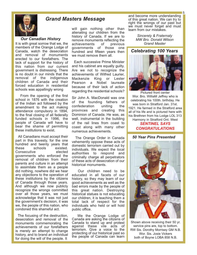

### *Grand Masters Message*

*Our Canadian History*

It is with great sorrow that we, the members of the Orange Lodge of Canada, watch the desecration and removal of monuments erected to our forefathers. The lack of support for the history of this nation from our current government is distressing. There is no doubt in our minds that the removal of the indigenous children of Canada and their forced education in residential schools was appallingly wrong

From the opening of the first school in 1876 with the creation of the Indian act followed by the amendment to the act making attendance compulsory in 1894, to the final closing of all federally funded schools in 1996, the people of Canada will have to bear the shame of permitting these institutions to exist.

All Canadians must accept their part in this travesty, for the one hundred and twenty years that these schools existed. Consecutive elected governments who enforced the removal of children from their parents and culture in an attempt to assimilate them as a people did nothing, nowhere did we hear any objections to the operation of these institutions by the citizens of Canada through those years. And although we now publicly recognize the wrongs committed over all those years, we must acknowledge that it was not just the government's decision, it was we, the people of this nation, who condoned this shameful act.

The focusing of the destruction, desecration and removal of the monuments commemorating the achievements of our forefathers is merely an attempt to change history, and to brand an individual for doing the will of the people. It

will gain nothing other than alienating our children from the history of Canada. If we are to remove monuments reflecting the achievements of previous governments of those one hundred and fifteen years then we must remove them all.

Each successive Prime Minister and his cabinet are equally guilty. Are we not to recognize the achievements of Wilfred Laurier, Mackenzie King or Lester Pearson a Nobel laureate because of their lack of action regarding the residential schools?

Sir John A. MacDonald was one of the founding fathers of confederation uniting the provinces and creating this Dominion of Canada. He was, as well, instrumental in the building of the rail lines from coast to coast along with many other numerous achievements.

The Orange Order in Canada vehemently oppose these acts of domestic terrorism carried out by individuals. We expect the local authorities to respond and criminally charge all perpetrators of these acts of desecration of our historical monuments.

Our children need to be educated in all facets of our history, so they may learn of our good achievements as well as the bad errors made by the people of this great nation. Destroying historical statues is not educating our children, it is teaching them a total lack of respect for the individuals who held or will hold public office.

We the Orange Lodge of Canada are asking the citizens of Canada to stand up and protest against these vile acts of terrorism. Give a voice to the protecting of our historical past so the people of Canada can learn and become more understanding of this great nation. We can try to right the wrongs of our past but we must never forget and must learn from our mistakes.

> *Sincerely & Fraternaly MW Bro. Donald Wilson Grand Master*

#### *Celebrating 100 Years*



Pictured front center Wor. Bro. WilliaM Jeffrey who is celebrating his 100th. birthday. He was born in Stratford Jan. 31st. 1921. He farmed in the Stratford area all of his life and is pictured here with his Brethren from his Lodge LOL 313 Harmony in Stratford Ont. West *SENTINEL SAYS*

*CONGRATULATIONS*

#### *50 Year Pins Presented*



Shown above receiving their 50 yr. service pins are, top to bottom. RW Sis. Dorothy Morrisey GM N.B. Wor. Sis. Josie Vickers both of Boyne LOBA 858 N.B.

5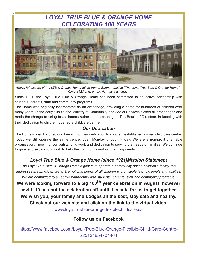# *LOYAL TRUE BLUE & ORANGE HOME CELEBRATING 100 YEARS*

6



*Above left picture of the LTB & Orange Home taken from a Banner entitled "The Loyal True Blue & Orange Home" Circa 1923 and, on the right as it is today*

Since 1921, the Loyal True Blue & Orange Home has been committed to an active partnership with students, parents, staff and community programs

The Home was originally incorporated as an orphanage, providing a home for hundreds of children over many years. In the early 1980's, the Ministry of Community and Social Services closed all orphanages and made the change to using foster homes rather than orphanages. The Board of Directors, in keeping with their dedication to children, opened a childcare centre**.**

### *Our Dedication*

The Home's board of directors, keeping to their dedication to children, established a small child care centre. Today we still operate the same centre, open Monday through Friday. We are a non-profit charitable organization, known for our outstanding work and dedication to serving the needs of families. We continue to grow and expand our work to help the community and its changing needs.

# *Loyal True Blue & Orange Home (since 1921)Mission Statement*

*The Loyal True Blue & Orange Home's goal is to operate a community based children's facility that addresses the physical, social & emotional needs of all children with multiple learning levels and abilities. We are committed to an active partnership with students, parents, staff and community programs.* 

**We were looking forward to a big 100th year celebration in August, however covid -19 has put the celebration off until it is safe for us to get together. We wish you, your family and Lodges all the best, stay safe and healthy. Check out our web site and click on the link to the virtual video.**

www.loyaltrueblueorangeflexiblechildcare.ca

# **Follow us on Facebook**

https://www.facebook.com/Loyal-True-Blue-Orange-Flexible-Child-Care-Centre-225131654704464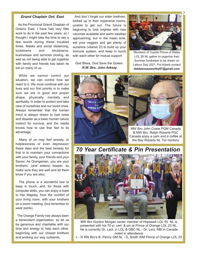#### *Grand Chaplain Ont. East*

As the Provincial Grand Chaplain of Ontario East, I have had very little work to do in the past few years, so I thought I might take the time to say a few words during these troubled times. Masks and social distancing, lockdowns and shutdowns, businesses and services closing, as well as not being able to get together with family and friends has taken its toll on many of us.

While we cannot control our situation, we can control how we react to it. We must continue with our lives and our first priority is to make sure we are in good and proper shape, physically, mentally and spiritually, in order to protect and take care of ourselves and our loved ones. Always remember that the human mind is always drawn to bad news and disaster as a basic human nature instinct for survival, and the media knows how to use that fact to its advantage.

Many of us may feel anxiety, or helplessness or even depression these days and the best remedy for that is to maintain your connections with your family, your friends and your Savior. As Orangemen, you are your brothers` (and sisters) keeper, so make sure they are well and let them know if you are also.

The phone is a wonderful tool to keep in touch, and, for those with computer skills, you can enjoy a toast to Her Majesty, from the comfort of your living room, with your brothers on a zoom meeting, (but remember to wear pants).

The Orange Family has always been a benevolent organization, so let us be generous and charitable with our time and energy to help each other, beginning with our closest brothers and working our way outwards.

And don`t forget our elder brethren, locked up in their expensive rooms, unable to get out. The future is beginning to look brighter with new vaccines available and warm weather approaching, but in the mean time, eat your veggies and get plenty of sunshine (vitamin D) to build up your immune system, and keep in touch with each other for mutual support

God Bless, God Save the Queen. *R.W. Bro. John Arksey* 



Members of Cupids Prince of Wales LOL 26 NL gather to organize their Summer fundraiser to be drawn on Labour Day 2021. *Fot tickets contact* **debbienoseworthy67@gmail.com**



*70 Year Certificate & Pin Presentation*



MW Bro Gordon Morgan center member of Hopewell LOL 50 NL is presented with his 70 yr. cert. & pin at Prince of Orange LOL 23 NL. He is currently Gr. Lect. in LOL & GBC NL - Gr. Lect. RBI in Canada noted in attendance

L - R RW Bro's B. Penny GM NL - D. Smith WM Prince of Orange LOL 23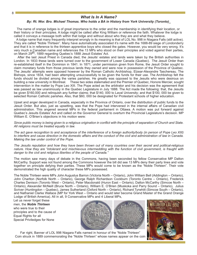#### *What Is In A Name?*

#### *By: Rt. Wor. Bro. Michael Thomas. Who holds a BA in History from York University (Toronto)\_*

The name of orange lodges is of great importance to the order and the membership in identifying their location, or their history or their principles. A lodge might be called after King William or reference the faith. Whatever the lodge is called it conveys a message both within that lodge and without about who they are and what they believe.

A lodge name that many frequently interpret wrongly in its meaning is that of LOL No. 998 in Niagara Falls (still active). They are called "Noble Thirteen". Many have automatically associated it's name with the 1688-89 siege of Londonderry and that it is in reference to the thirteen apprentice boys who closed the gates. However, you would be very wrong. It's very much a Canadian name and references the 13 MPs who stood on their principles and voted against their parties, on March 29<sup>th</sup>, 1889 regarding Quebec's 1888 Jesuit Estates' Act.

After the last Jesuit Priest in Canada died, the Jesuits' estates and lands were taken by the British authorities in London. In 1833 these lands were turned over to the government of Lower Canada (Quebec). The Jesuit Order than re-established itself in the Dominion in 1841. In 1871, under permission given from Rome, the Jesuit Order sought to claim monetary funds from those previous lands they owned and were now in possession of the Province of Quebec. The Jesuits' attempts were opposed however by the Roman Catholic Archbishop, Elzear-Alexandre Taschereau. The Bishops, since 1834, had been attempting unsuccessfully to be given the funds for their use. The Archbishop felt the funds should be divided among the varies parishes. He greatly was opposed to the Jesuits who were desirous on building a new university in Montreal. These two sides stalemated and the Premier of Quebec, Honore Mercier, sought intervention in the matter by Pope Leo XIII. The Pope acted as the arbitrator and his decision was the agreement that was passed as law unanimously in the Quebec Legislature in July 1888. The Act made the following: that, the Jesuits be given \$160,000 and relinquish any further claims; that \$140, 000 to Laval University; and that \$100, 000 be given to selected Roman Catholic parishes. Also, that \$60, 000 be designated for Protestant schools of higher education.

Upset and anger developed in Canada, especially in the Province of Ontario, over the distribution of public funds to the Jesuit Order. But also, just as upsetting, was that the Pope had intervened in the internal affairs of Canadian civil administration. This angered several MPs in the federal parliament in Ottawa. A motion was put forward against Quebec's Jesuits Estates' Act and called on the Governor General to overturn the Provincial Legislature's decision. MP William E. O'Brien's objections in his motion were:

*Since public money is being given to a religious origination in conflict with the principle of separation of Church and State. All religions must be treated equally in law.*

*The act gave recognition to and acceptance of the interference of a foreign authority/body (in person of Pope Leo XIII) to interfere and cause direction in the domestic affairs and the conduct of the civil and administration of law in Canada. Making the law under control of the Pope.*

*The Jesuits reputation and how they have been thrown out of many countries over their secret and political-religious nature. How they are "intolerant and mischievous intermeddling with the function of civil government, is fraught with danger to the civil and religious liberties of the people of Canada."*

The motion saw many days of debate in the Commons, having been seconded by fellow Conservative MP Dalton McCarthy. Support was not found among the Commons however the bill did see 13 MPs deny their party lines and vote together on principle defying their parties. These MPs would come to be known as the "Noble Thirteen". Their vote demonstrated the high quality of character these MPs possessed.

The Noble Thirteen were MPs John Augustus Barron (Victoria North – Ontario), John William Bell (Addington – Ontario), John Charlton (Norfolk North – Ontario), George Ralph Richardson Cockburn (Toronto Centre – Ontario), Frederick Charles Denison (Toronto West – Ontario), Peter Macdonald (Huron East – Ontario), Dalton McCarthy (Simcoe North – Ontario), Alexander McNeill (Bruce North – Ontario), William E. O'Brien (Muskoka and Parry Sound – Ontario), Julius Scriver (Huntingdon – Quebec), James Sutherland (Oxford North – Ontario), Richard Tyrwhitt (Simcoe South – Ontario), and Nathaniel Clarke Wallace (MP for York West – Ontario and would later become Grand Master of the Grand Orange Lodge of British America). All in all, 9 Conservative MPs and 4 Liberal MPs,

Let us never forget these men, the *Noble Thirteen* who were true to their principles and to the cause of Equal Rights for all Special Priviledges for None





Far right, Banner of LOL 998 Niagara Falls named in honour of the "Noble Thirteen" Coin struck in 1889 commemorating the "Noble Thirteen" whose names appear on the coin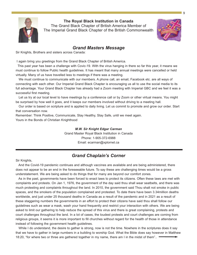

**The Royal Black Institution in Canada**

The Grand Black Chapter of British America Member of The Imperial Grand Black Chapter of the British Commonwealth



#### *Grand Masters Message*

Sir Knights, Brothers and sisters across Canada:

I again bring you greetings from the Grand Black Chapter of British America.

This past year has been a challenge with Covic-19. With the virus hanging in there so far this year, it means we must continue to follow Public health guidelines. It has meant that many annual meetings were cancelled or held virtually. Many of us have travelled less to meetings if there was a meeting.

We must continue to communicate with our members. A phone call, an email, Facebook etc. are all ways of connecting with each other. Our Imperial Grand Black Chapter is encouraging us all to use the social media to its full advantage. Your Grand Black Chapter has already had a Zoom meeting with Imperial GBC and we feel it was a successful first meeting.

Let us try at our local level to have meetings by a conference call or by Zoom or other virtual means. You might be surprised by how well it goes, and it keeps our members involved without driving to a meeting hall.

Our order is based on scripture and is applied to daily living. Let us commit to promote and grow our order. Start that conversation now.

Remember: Think Positive, Communicate, Stay Healthy, Stay Safe, until we meet again. Yours in the Bonds of Christian Knighthood

> *M.W. Sir Knight Edgar Carman*  Grand Master Royal Black Institution in Canada Phone: 1-905-372-6988 Email: ecarman@xplornet.ca

### *Grand Chaplain's Corner*

Sir Knights,

And the Covid-19 pandemic continues and although vaccines are available and are being administered, there does not appear to be an end in the foreseeable future. To say these are challenging times would be a gross understatement. We are being asked to do things that for many are beyond our comfort zones.

As in the past, governments have been forced to enact laws to protect its citizens. Often these laws are met with complaints and protests. On Jan 1, 1976, the government of the day said thou shall wear seatbelts, and there was much protesting and complaints throughout the land. In 2010, the government said Thou shalt not smoke in public spaces, and the smokers of the population complained and protested. To date there have been 3.34million deaths worldwide, and just under 25 thousand deaths in Canada as a result of the pandemic and in 2021 as a result of these staggering numbers the governments in an effort to protect their citizens have said thou shall follow our guidelines such as wear a mask, wash your hand frequently and restrict your interaction with others. We are being asked to limit our gathering to help reduce the spread of this virus and there is great complaining, protests and court challenges throughout the land. In a lot of cases, the loudest protests and court challenges are coming from religious groups, it seems it is more important to fill churches without regard for the health of those in attendance instead of following the government health guidelines.

While I do understand, the desire to gather is strong, now is not the time. Nowhere in the scriptures does it say that we have to gather in large numbers in a building to worship God. What the Bible does say however in Matthew 18:20, "for where two or three are gathered together in my name, there am I in the midst of them"..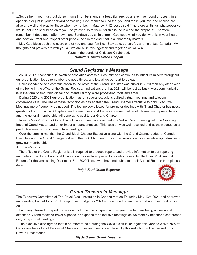...So, gather if you must, but do so in small numbers, under a beautiful tree, by a lake, river, pond or ocean, in an open field or just in your backyard or dwelling. Give thanks to God that you and those you love and cherish are alive and well and pray for those who may not be. In Matthew 7:12, Jesus said "Therefore all things whatsoever ye would that men should do on to you, do ye even so to them: for this is the law and the prophets". Therefore remember, it does not matter how many Sundays you sit in church. God sees what you do, what is in your heart and how you treat and respect other people. And in the end, that is all that really matters.

May God bless each and every one of you and your families. Stay safe, be careful, and hold fast, Canada. My thoughts and prayers are with you all, we are all in this together and together we will win.

Yours in the bonds of Christian Knighthood,

*Donald C. Smith Grand Chaplin*

#### *Grand Registrar's Message*

As COVID-19 continues its swath of desolation across our country and continues to inflect its misery throughout our organization, let us remember the good times, and lets all do our part to defeat it.

Correspondence and communication to the office of the Grand Registrar was busier in 2020 than any other year of my being in the office of the Grand Registrar. Indications are that 2021 will be just as busy. Most communication is in the form of electronic digital documents utilizing word processing tools and email.

During 2020 and 2021 our organization has on several occasions utilized virtual meetings and telecom conference calls. The use of these technologies has enabled the Grand Chapter Executive to hold Executive Meetings more frequently as needed. The technology allowed for prompter dealings with Grand Chapter business, questions from Provincial Chapters, and/or members, and the faster dissemination of information to preceptories and the general membership. All done at no cost to our Grand Chapter.

In early May 2021 your Grand Black Chapter Executive took part in a Virtual Zoom meeting with the Sovereign Imperial Grand Master and other Imperial representatives. This session was well received and acknowledged as a productive means to continue future meetings.

Over the coming months, the Grand Black Chapter Executive along with the Grand Orange Lodge of Canada Executive and the Grand Orange Lodge of the L.O.B.A. intend to start discussions on joint initiative opportunities to grow our membership.

#### *Annual Returns*

The office of the Grand Registrar is still required to produce reports and provide information to our reporting authorities. Thanks to Provincial Chapters and/or isolated preceptories who have submitted their 2020 Annual Returns for the year ending December 31st 2020.Those who have not submitted their Annual Returns then please do so.

#### *Ralph Ford Grand Registrar*



#### *Grand Treasure's Message*

The Executive Committee of The Royal Black Institution in Canada met on Thursday May 13th 2021 and approved an operating budget for 2021. The approved budget for 2021 is based on the finance report approved budget for 2018.

I am very pleased to report that we can hold the line on spending this year due to there being no sessional expenses, Grand Master's travel expense, or expense for executive meetings as we meet by telephone conference call, or by virtual meetings.

The executive also agreed that in an effort to help during the Covid-19 situation again this year, to waive 75% of Capitation Taxes for all Provincial Chapters under our jurisdiction. Hopefully this reduction will be passed on to Private Preceptories.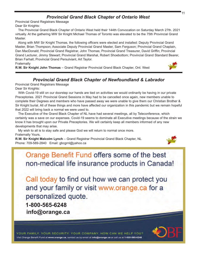# *Provincial Grand Black Chapter of Ontario West*

Provincial Grand Registrars Message

Dear Sir Knights:

The Provincial Grand Black Chapter of Ontario West held their 144th Convocation on Saturday March 27th. 2021 virtually. At the gathering MW Sir Knight Michael Thomas of Toronto was elevated to be the 75th Provincial Grand Master.

Along with MW Sir Knight Thomas, the following officers were elected and installed: Deputy Provincial Grand Master, Brian Thompson; Associate Deputy Provincial Grand Master, Sam Ferguson; Provincial Grand Chaplain, Dan MacDonald; Provincial Grand Registrar, John Thomas; Provincial Grand Treasurer, David Griffin; Provincial Grand Lecturer, Jimmy Stewart; Provincial Grand Marshal, Robert Shoebottom; Provincial Grand Standard Bearer, Brian Farhall; Provincial Grand Persulviant, Art Taylor.

**Fraternally** 

**R.W. Sir Knight John Thomas** – Grand Registrar Provincial Grand Black Chapter, Ont. West



# *Provincial Grand Black Chapter of Newfoundland & Labrador*

Provincial Grand Registrars Message

Dear Sir Knights:

With Covid-19 still on our doorstep our hands are tied on activities we would ordinarily be having in our private Preceptories. 2021 Provincial Grand Sessions in May had to be cancelled once again, new members unable to complete their Degrees and members who have passed away we were unable to give them our Christian Brother & Sir Knight burial. All of these things and more have affected our organization in this pandemic but we remain hopeful that 2022 will bring back a normal we were used to.

The Executive of the Grand Black Chapter of NL have had several meetings, all by Teleconference, which certainly was a save on our expenses. Covid-19 seems to dominate all Executive meetings because of the strain we know it has brought upon our Private Preceptories. We will certainly keep all members informed of any new developments that may arise.

My wish to all is to stay safe and please God we will return to normal once more. Fraternally Yours,

**R.W. Sir Knight Malcolm Lynch** – Grand Registrar Provincial Grand Black Chapter, NL Phone: 709-589-2840 Email: gbcgrnl@yahoo.ca



Orange Benefit Fund offers some of the best non-medical life insurance products in Canada!

Call today to find out how we can protect you and your family or visit www.orange.ca for a personalized quote.

**1-800-565-6248 info@orange.ca**

YOUR FAMILY, YOUR SECURITY, YOUR COMPANY, HOW CAN WE HELP YOU? Visit Orange Benefit Fund at www.orange.ca, contact us by email at info@orange.ca or call us at 1-800-565-6248